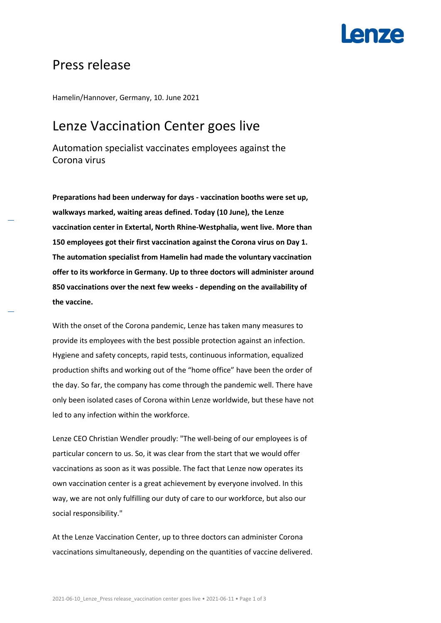# **Anza**

## Press release

Hamelin/Hannover, Germany, 10. June 2021

## Lenze Vaccination Center goes live

Automation specialist vaccinates employees against the Corona virus

**Preparations had been underway for days - vaccination booths were set up, walkways marked, waiting areas defined. Today (10 June), the Lenze vaccination center in Extertal, North Rhine-Westphalia, went live. More than 150 employees got their first vaccination against the Corona virus on Day 1. The automation specialist from Hamelin had made the voluntary vaccination offer to its workforce in Germany. Up to three doctors will administer around 850 vaccinations over the next few weeks - depending on the availability of the vaccine.**

With the onset of the Corona pandemic, Lenze has taken many measures to provide its employees with the best possible protection against an infection. Hygiene and safety concepts, rapid tests, continuous information, equalized production shifts and working out of the "home office" have been the order of the day. So far, the company has come through the pandemic well. There have only been isolated cases of Corona within Lenze worldwide, but these have not led to any infection within the workforce.

Lenze CEO Christian Wendler proudly: "The well-being of our employees is of particular concern to us. So, it was clear from the start that we would offer vaccinations as soon as it was possible. The fact that Lenze now operates its own vaccination center is a great achievement by everyone involved. In this way, we are not only fulfilling our duty of care to our workforce, but also our social responsibility."

At the Lenze Vaccination Center, up to three doctors can administer Corona vaccinations simultaneously, depending on the quantities of vaccine delivered.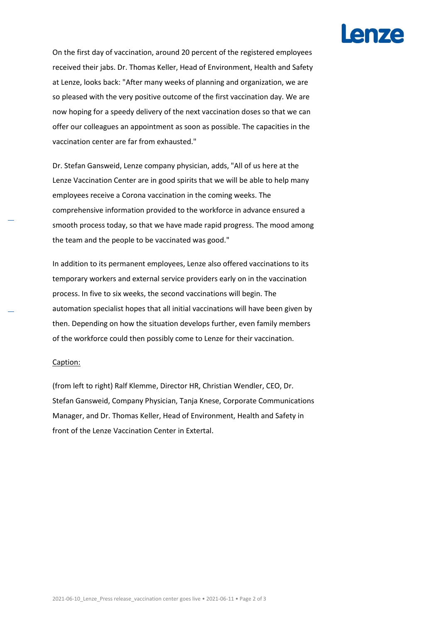# **Lenze**

On the first day of vaccination, around 20 percent of the registered employees received their jabs. Dr. Thomas Keller, Head of Environment, Health and Safety at Lenze, looks back: "After many weeks of planning and organization, we are so pleased with the very positive outcome of the first vaccination day. We are now hoping for a speedy delivery of the next vaccination doses so that we can offer our colleagues an appointment as soon as possible. The capacities in the vaccination center are far from exhausted."

Dr. Stefan Gansweid, Lenze company physician, adds, "All of us here at the Lenze Vaccination Center are in good spirits that we will be able to help many employees receive a Corona vaccination in the coming weeks. The comprehensive information provided to the workforce in advance ensured a smooth process today, so that we have made rapid progress. The mood among the team and the people to be vaccinated was good."

In addition to its permanent employees, Lenze also offered vaccinations to its temporary workers and external service providers early on in the vaccination process. In five to six weeks, the second vaccinations will begin. The automation specialist hopes that all initial vaccinations will have been given by then. Depending on how the situation develops further, even family members of the workforce could then possibly come to Lenze for their vaccination.

### Caption:

(from left to right) Ralf Klemme, Director HR, Christian Wendler, CEO, Dr. Stefan Gansweid, Company Physician, Tanja Knese, Corporate Communications Manager, and Dr. Thomas Keller, Head of Environment, Health and Safety in front of the Lenze Vaccination Center in Extertal.